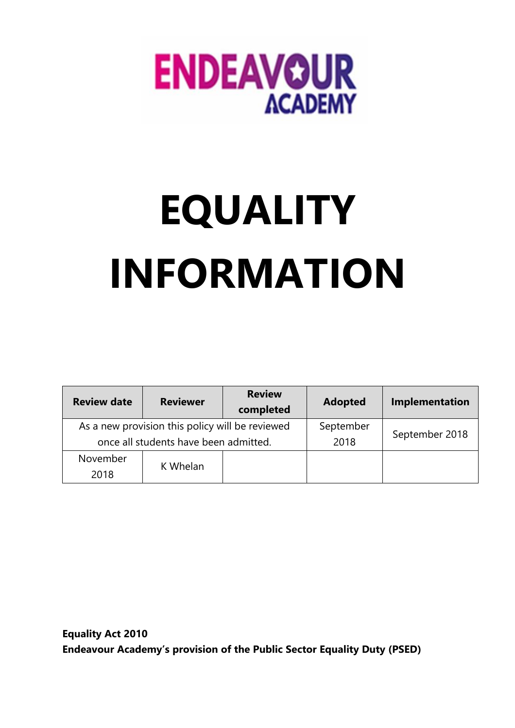

## **EQUALITY INFORMATION**

| <b>Review date</b>                                                                       | <b>Reviewer</b> | <b>Review</b><br>completed | <b>Adopted</b>    | Implementation |
|------------------------------------------------------------------------------------------|-----------------|----------------------------|-------------------|----------------|
| As a new provision this policy will be reviewed<br>once all students have been admitted. |                 |                            | September<br>2018 | September 2018 |
| November<br>2018                                                                         | K Whelan        |                            |                   |                |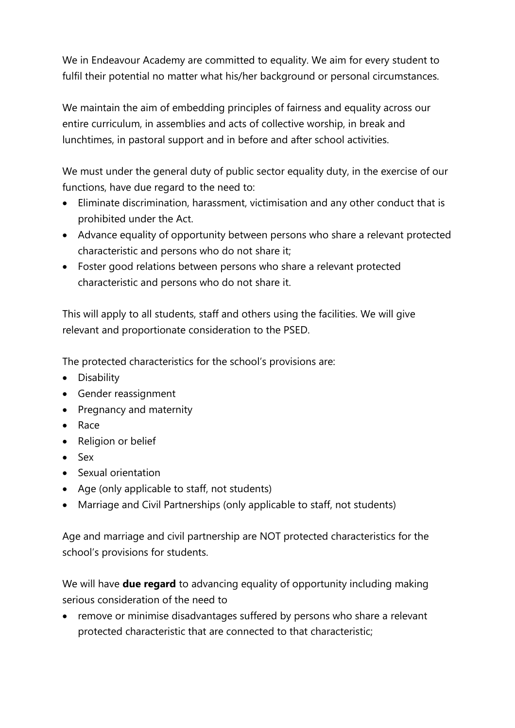We in Endeavour Academy are committed to equality. We aim for every student to fulfil their potential no matter what his/her background or personal circumstances.

We maintain the aim of embedding principles of fairness and equality across our entire curriculum, in assemblies and acts of collective worship, in break and lunchtimes, in pastoral support and in before and after school activities.

We must under the general duty of public sector equality duty, in the exercise of our functions, have due regard to the need to:

- Eliminate discrimination, harassment, victimisation and any other conduct that is prohibited under the Act.
- Advance equality of opportunity between persons who share a relevant protected characteristic and persons who do not share it;
- Foster good relations between persons who share a relevant protected characteristic and persons who do not share it.

This will apply to all students, staff and others using the facilities. We will give relevant and proportionate consideration to the PSED.

The protected characteristics for the school's provisions are:

- Disability
- Gender reassignment
- Pregnancy and maternity
- Race
- Religion or belief
- Sex
- Sexual orientation
- Age (only applicable to staff, not students)
- Marriage and Civil Partnerships (only applicable to staff, not students)

Age and marriage and civil partnership are NOT protected characteristics for the school's provisions for students.

We will have **due regard** to advancing equality of opportunity including making serious consideration of the need to

• remove or minimise disadvantages suffered by persons who share a relevant protected characteristic that are connected to that characteristic;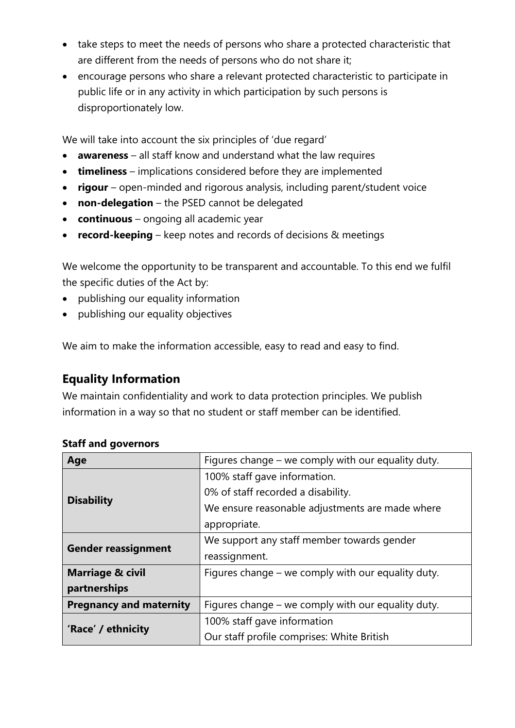- take steps to meet the needs of persons who share a protected characteristic that are different from the needs of persons who do not share it;
- encourage persons who share a relevant protected characteristic to participate in public life or in any activity in which participation by such persons is disproportionately low.

We will take into account the six principles of 'due regard'

- **awareness** all staff know and understand what the law requires
- **timeliness** implications considered before they are implemented
- **rigour** open-minded and rigorous analysis, including parent/student voice
- **non-delegation** the PSED cannot be delegated
- **continuous** ongoing all academic year
- **record-keeping** keep notes and records of decisions & meetings

We welcome the opportunity to be transparent and accountable. To this end we fulfil the specific duties of the Act by:

- publishing our equality information
- publishing our equality objectives

We aim to make the information accessible, easy to read and easy to find.

## **Equality Information**

We maintain confidentiality and work to data protection principles. We publish information in a way so that no student or staff member can be identified.

| Age                            | Figures change - we comply with our equality duty. |  |  |
|--------------------------------|----------------------------------------------------|--|--|
|                                | 100% staff gave information.                       |  |  |
|                                | 0% of staff recorded a disability.                 |  |  |
| <b>Disability</b>              | We ensure reasonable adjustments are made where    |  |  |
|                                | appropriate.                                       |  |  |
|                                | We support any staff member towards gender         |  |  |
| <b>Gender reassignment</b>     | reassignment.                                      |  |  |
| <b>Marriage &amp; civil</b>    | Figures change – we comply with our equality duty. |  |  |
| partnerships                   |                                                    |  |  |
| <b>Pregnancy and maternity</b> | Figures change – we comply with our equality duty. |  |  |
| 'Race' / ethnicity             | 100% staff gave information                        |  |  |
|                                | Our staff profile comprises: White British         |  |  |

## **Staff and governors**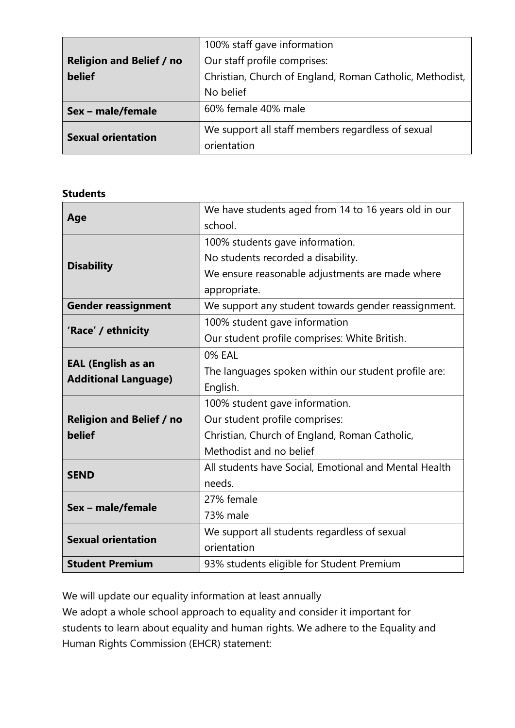|                                 | 100% staff gave information                              |
|---------------------------------|----------------------------------------------------------|
| <b>Religion and Belief / no</b> | Our staff profile comprises:                             |
| belief                          | Christian, Church of England, Roman Catholic, Methodist, |
|                                 | No belief                                                |
| Sex - male/female               | 60% female 40% male                                      |
| <b>Sexual orientation</b>       | We support all staff members regardless of sexual        |
|                                 | orientation                                              |

## **Students**

|                                 | We have students aged from 14 to 16 years old in our  |  |
|---------------------------------|-------------------------------------------------------|--|
| Age                             | school.                                               |  |
|                                 | 100% students gave information.                       |  |
|                                 | No students recorded a disability.                    |  |
| <b>Disability</b>               | We ensure reasonable adjustments are made where       |  |
|                                 | appropriate.                                          |  |
| <b>Gender reassignment</b>      | We support any student towards gender reassignment.   |  |
|                                 | 100% student gave information                         |  |
| 'Race' / ethnicity              | Our student profile comprises: White British.         |  |
|                                 | <b>0% EAL</b>                                         |  |
| <b>EAL (English as an</b>       | The languages spoken within our student profile are:  |  |
| <b>Additional Language)</b>     | English.                                              |  |
|                                 | 100% student gave information.                        |  |
| <b>Religion and Belief / no</b> | Our student profile comprises:                        |  |
| belief                          | Christian, Church of England, Roman Catholic,         |  |
|                                 | Methodist and no belief                               |  |
| <b>SEND</b>                     | All students have Social, Emotional and Mental Health |  |
|                                 | needs.                                                |  |
| Sex - male/female               | 27% female                                            |  |
|                                 | 73% male                                              |  |
| <b>Sexual orientation</b>       | We support all students regardless of sexual          |  |
|                                 | orientation                                           |  |
| <b>Student Premium</b>          | 93% students eligible for Student Premium             |  |

We will update our equality information at least annually

We adopt a whole school approach to equality and consider it important for students to learn about equality and human rights. We adhere to the Equality and Human Rights Commission (EHCR) statement: